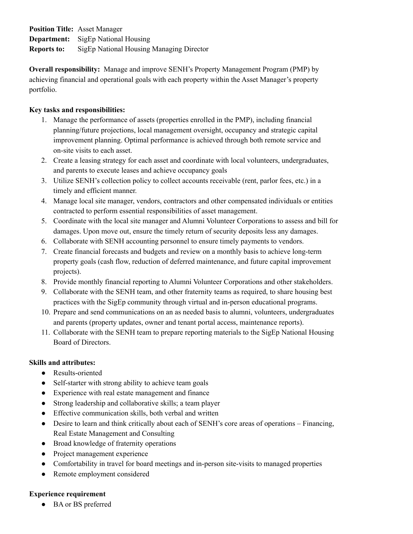**Position Title:** Asset Manager **Department:** SigEp National Housing **Reports to:** SigEp National Housing Managing Director

**Overall responsibility:** Manage and improve SENH's Property Management Program (PMP) by achieving financial and operational goals with each property within the Asset Manager's property portfolio.

## **Key tasks and responsibilities:**

- 1. Manage the performance of assets (properties enrolled in the PMP), including financial planning/future projections, local management oversight, occupancy and strategic capital improvement planning. Optimal performance is achieved through both remote service and on-site visits to each asset.
- 2. Create a leasing strategy for each asset and coordinate with local volunteers, undergraduates, and parents to execute leases and achieve occupancy goals
- 3. Utilize SENH's collection policy to collect accounts receivable (rent, parlor fees, etc.) in a timely and efficient manner.
- 4. Manage local site manager, vendors, contractors and other compensated individuals or entities contracted to perform essential responsibilities of asset management.
- 5. Coordinate with the local site manager and Alumni Volunteer Corporations to assess and bill for damages. Upon move out, ensure the timely return of security deposits less any damages.
- 6. Collaborate with SENH accounting personnel to ensure timely payments to vendors.
- 7. Create financial forecasts and budgets and review on a monthly basis to achieve long-term property goals (cash flow, reduction of deferred maintenance, and future capital improvement projects).
- 8. Provide monthly financial reporting to Alumni Volunteer Corporations and other stakeholders.
- 9. Collaborate with the SENH team, and other fraternity teams as required, to share housing best practices with the SigEp community through virtual and in-person educational programs.
- 10. Prepare and send communications on an as needed basis to alumni, volunteers, undergraduates and parents (property updates, owner and tenant portal access, maintenance reports).
- 11. Collaborate with the SENH team to prepare reporting materials to the SigEp National Housing Board of Directors.

### **Skills and attributes:**

- Results-oriented
- Self-starter with strong ability to achieve team goals
- Experience with real estate management and finance
- Strong leadership and collaborative skills; a team player
- Effective communication skills, both verbal and written
- Desire to learn and think critically about each of SENH's core areas of operations Financing, Real Estate Management and Consulting
- Broad knowledge of fraternity operations
- Project management experience
- Comfortability in travel for board meetings and in-person site-visits to managed properties
- Remote employment considered

# **Experience requirement**

**●** BA or BS preferred